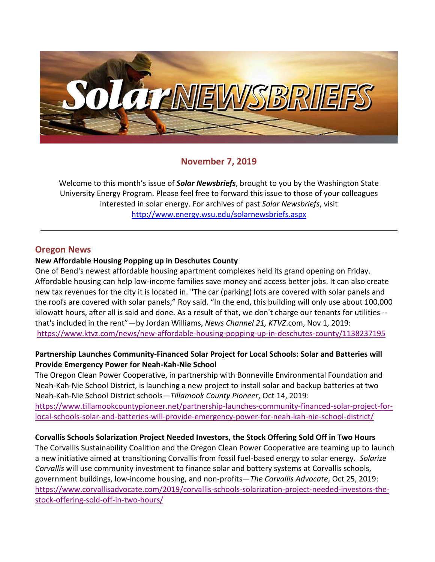

# **November 7, 2019**

Welcome to this month's issue of *Solar Newsbriefs*, brought to you by the Washington State University Energy Program. Please feel free to forward this issue to those of your colleagues interested in solar energy. For archives of past *Solar Newsbriefs*, visit <http://www.energy.wsu.edu/solarnewsbriefs.aspx>

## **Oregon News**

#### **New Affordable Housing Popping up in Deschutes County**

One of Bend's newest affordable housing apartment complexes held its grand opening on Friday. Affordable housing can help low-income families save money and access better jobs. It can also create new tax revenues for the city it is located in. "The car (parking) lots are covered with solar panels and the roofs are covered with solar panels," Roy said. "In the end, this building will only use about 100,000 kilowatt hours, after all is said and done. As a result of that, we don't charge our tenants for utilities - that's included in the rent"—by Jordan Williams, *News Channel 21, KTVZ*.com, Nov 1, 2019: <https://www.ktvz.com/news/new-affordable-housing-popping-up-in-deschutes-county/1138237195>

## **Partnership Launches Community‐Financed Solar Project for Local Schools: Solar and Batteries will Provide Emergency Power for Neah‐Kah‐Nie School**

The Oregon Clean Power Cooperative, in partnership with Bonneville Environmental Foundation and Neah-Kah-Nie School District, is launching a new project to install solar and backup batteries at two Neah-Kah-Nie School District schools—*Tillamook County Pioneer*, Oct 14, 2019: [https://www.tillamookcountypioneer.net/partnership-launches-](https://www.tillamookcountypioneer.net/partnership-launches-community‐financed-solar-project-for-local-schools-solar-and-batteries-will-provide-emergency-power-for-neah‐kah‐nie-school-district/)community‐financed-solar-project-for[local-schools-solar-and-batteries-will-provide-emergency-power-for-](https://www.tillamookcountypioneer.net/partnership-launches-community‐financed-solar-project-for-local-schools-solar-and-batteries-will-provide-emergency-power-for-neah‐kah‐nie-school-district/)neah‐kah‐nie-school-district/

## **Corvallis Schools Solarization Project Needed Investors, the Stock Offering Sold Off in Two Hours**

The Corvallis Sustainability Coalition and the Oregon Clean Power Cooperative are teaming up to launch a new initiative aimed at transitioning Corvallis from fossil fuel-based energy to solar energy. *Solarize Corvallis* will use community investment to finance solar and battery systems at Corvallis schools, government buildings, low-income housing, and non-profits—*The Corvallis Advocate*, Oct 25, 2019: [https://www.corvallisadvocate.com/2019/corvallis-schools-solarization-project-needed-investors-the](https://www.corvallisadvocate.com/2019/corvallis-schools-solarization-project-needed-investors-the-stock-offering-sold-off-in-two-hours/)[stock-offering-sold-off-in-two-hours/](https://www.corvallisadvocate.com/2019/corvallis-schools-solarization-project-needed-investors-the-stock-offering-sold-off-in-two-hours/)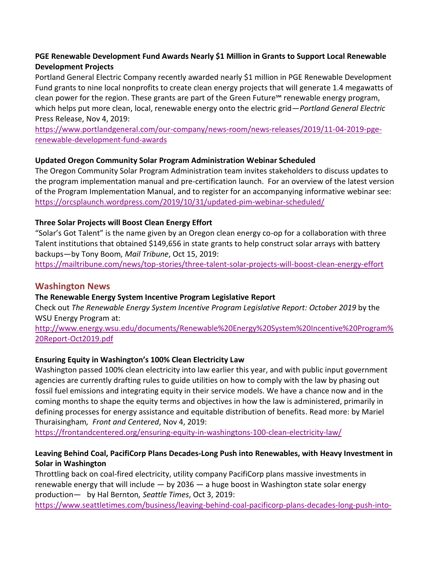# **PGE Renewable Development Fund Awards Nearly \$1 Million in Grants to Support Local Renewable Development Projects**

Portland General Electric Company recently awarded nearly \$1 million in PGE Renewable Development Fund grants to nine local nonprofits to create clean energy projects that will generate 1.4 megawatts of clean power for the region. These grants are part of the Green Future℠ [renewable energy program,](https://www.portlandgeneral.com/residential/power-choices/renewable-power/choose-renewable) which helps put more clean, local, renewable energy onto the electric grid—*Portland General Electric* Press Release, Nov 4, 2019:

[https://www.portlandgeneral.com/our-company/news-room/news-releases/2019/11-04-2019-pge](https://www.portlandgeneral.com/our-company/news-room/news-releases/2019/11-04-2019-pge-renewable-development-fund-awards)[renewable-development-fund-awards](https://www.portlandgeneral.com/our-company/news-room/news-releases/2019/11-04-2019-pge-renewable-development-fund-awards)

## **Updated Oregon Community Solar Program Administration Webinar Scheduled**

The Oregon Community Solar Program Administration team invites stakeholders to discuss updates to the program implementation manual and pre-certification launch. For an overview of the latest version of the Program Implementation Manual, and to register for an accompanying informative webinar see: <https://orcsplaunch.wordpress.com/2019/10/31/updated-pim-webinar-scheduled/>

# **Three Solar Projects will Boost Clean Energy Effort**

"Solar's Got Talent" is the name given by an Oregon clean energy co-op for a collaboration with three Talent institutions that obtained \$149,656 in state grants to help construct solar arrays with battery backups—by Tony Boom, *Mail Tribune*, Oct 15, 2019:

<https://mailtribune.com/news/top-stories/three-talent-solar-projects-will-boost-clean-energy-effort>

# **Washington News**

**The Renewable Energy System Incentive Program Legislative Report**

Check out *The Renewable Energy System Incentive Program Legislative Report: October 2019* by the WSU Energy Program at:

[http://www.energy.wsu.edu/documents/Renewable%20Energy%20System%20Incentive%20Program%](http://www.energy.wsu.edu/documents/Renewable%20Energy%20System%20Incentive%20Program%20Report-Oct2019.pdf) [20Report-Oct2019.pdf](http://www.energy.wsu.edu/documents/Renewable%20Energy%20System%20Incentive%20Program%20Report-Oct2019.pdf)

# **Ensuring Equity in Washington's 100% Clean Electricity Law**

Washington passed 100% clean electricity into law earlier this year, and with public input government agencies are currently drafting rules to guide utilities on how to comply with the law by phasing out fossil fuel emissions and integrating equity in their service models. We have a chance now and in the coming months to shape the equity terms and objectives in how the law is administered, primarily in defining processes for energy assistance and equitable distribution of benefits. Read more: by Mariel Thuraisingham*, Front and Centered*, Nov 4, 2019:

<https://frontandcentered.org/ensuring-equity-in-washingtons-100-clean-electricity-law/>

# **Leaving Behind Coal, PacifiCorp Plans Decades-Long Push into Renewables, with Heavy Investment in Solar in Washington**

Throttling back on coal-fired electricity, utility company PacifiCorp plans massive investments in renewable energy that will include  $-$  by 2036  $-$  a huge boost in Washington state solar energy production— by Hal Bernton*, Seattle Times*, Oct 3, 2019:

[https://www.seattletimes.com/business/leaving-behind-coal-pacificorp-plans-decades-long-push-into-](https://www.seattletimes.com/business/leaving-behind-coal-pacificorp-plans-decades-long-push-into-renewables-with-heavy-investment-in-solar-here/)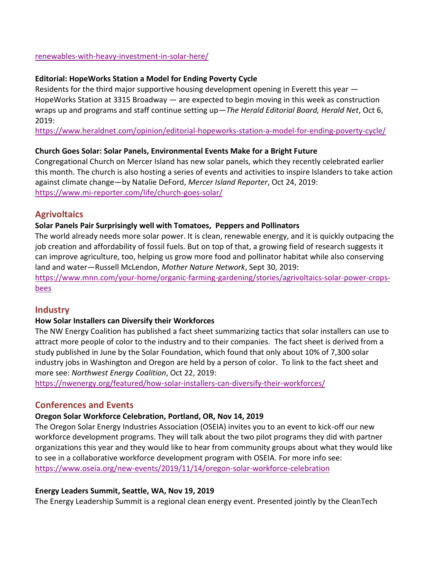#### [renewables-with-heavy-investment-in-solar-here/](https://www.seattletimes.com/business/leaving-behind-coal-pacificorp-plans-decades-long-push-into-renewables-with-heavy-investment-in-solar-here/)

#### **Editorial: HopeWorks Station a Model for Ending Poverty Cycle**

Residents for the third major supportive housing development opening in Everett this year — [HopeWorks Station](https://www.hopewrks.org/herald) at 3315 Broadway — are expected to begin moving in this week as construction wraps up and programs and staff continue setting up—*The Herald Editorial Board, Herald Net*, Oct 6, 2019:

<https://www.heraldnet.com/opinion/editorial-hopeworks-station-a-model-for-ending-poverty-cycle/>

#### **Church Goes Solar: Solar Panels, Environmental Events Make for a Bright Future**

Congregational Church on Mercer Island has new solar panels, which they recently celebrated earlier this month. The church is also hosting a series of events and activities to inspire Islanders to take action against climate change—by Natalie DeFord, *Mercer Island Reporter*, Oct 24, 2019: <https://www.mi-reporter.com/life/church-goes-solar/>

# **Agrivoltaics**

#### **Solar Panels Pair Surprisingly well with Tomatoes, Peppers and Pollinators**

The world already needs more solar power. It is clean, renewable energy, and it is quickly outpacing the [job creation](https://www.mnn.com/earth-matters/energy/blogs/renewable-energy-jobs-us-economy) and [affordability](https://www.mnn.com/earth-matters/energy/blogs/renewable-energy-becoming-cheaper-fossil-fuels-irena) of fossil fuels. But on top of that, a growing field of research suggests it can improve agriculture, too, helping us grow more food and pollinator habitat while also conserving land and water—Russell McLendon, *Mother Nature Network*, Sept 30, 2019:

[https://www.mnn.com/your-home/organic-farming-gardening/stories/agrivoltaics-solar-power-crops](https://www.mnn.com/your-home/organic-farming-gardening/stories/agrivoltaics-solar-power-crops-bees)[bees](https://www.mnn.com/your-home/organic-farming-gardening/stories/agrivoltaics-solar-power-crops-bees)

## **Industry**

## **How Solar Installers can Diversify their Workforces**

The NW Energy Coalition has published a [fact sheet](https://nwenergy.org/wp-content/uploads/2019/10/Solar-Workforce-Diversity-Report-Fact-Sheet-Final-1.pdf) summarizing tactics that solar installers can use to attract more people of color to the industry and to their companies. The fact sheet is derived from [a](https://nwenergy.org/wp-content/uploads/2019/07/ORWA-Diversity.pdf)  [study](https://nwenergy.org/wp-content/uploads/2019/07/ORWA-Diversity.pdf) published in June by the Solar Foundation, which found that only about 10% of 7,300 solar industry jobs in Washington and Oregon are held by a person of color. To link to the fact sheet and more see: *Northwest Energy Coalition*, Oct 22, 2019:

<https://nwenergy.org/featured/how-solar-installers-can-diversify-their-workforces/>

# **Conferences and Events**

## **Oregon Solar Workforce Celebration, Portland, OR, Nov 14, 2019**

The Oregon Solar Energy Industries Association (OSEIA) invites you to an event to kick-off our new workforce development programs. They will talk about the two pilot programs they did with partner organizations this year and they would like to hear from community groups about what they would like to see in a collaborative workforce development program with OSEIA. For more info see: <https://www.oseia.org/new-events/2019/11/14/oregon-solar-workforce-celebration>

## **Energy Leaders Summit, Seattle, WA, Nov 19, 2019**

The Energy Leadership Summit is a regional clean energy event. Presented jointly by the CleanTech